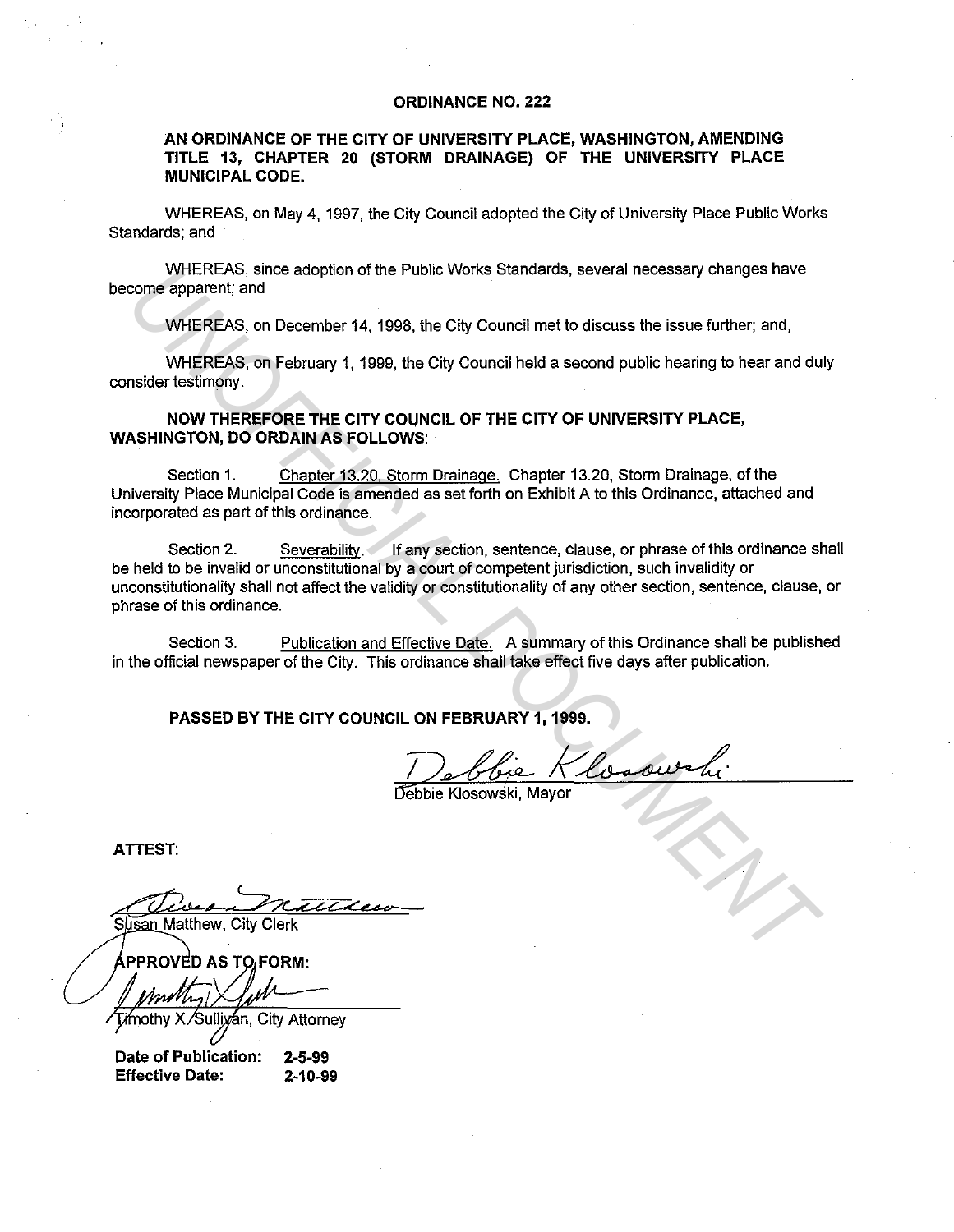## **ORDINANCE NO. 222**

# **AN ORDINANCE OF THE CITY OF UNIVERSITY PLACE, WASHINGTON, AMENDING TITLE 13, CHAPTER 20 (STORM DRAINAGE) OF THE UNIVERSITY PLACE MUNICIPAL CODE.**

WHEREAS, on May 4, 1997, the City Council adopted the City of University Place Public Works Standards; and

WHEREAS, since adoption of the Public Works Standards, several necessary changes have become apparent; and

WHEREAS, on December 14, 1998, the City Council met to discuss the issue further; and,

WHEREAS, on February 1, 1999, the City Council held a second public hearing to hear and duly consider testimony.

# **NOW THEREFORE THE CITY COUNCIL OF THE CITY OF UNIVERSITY PLACE, WASHINGTON, DO ORDAIN AS FOLLOWS:**

Section 1. Chapter 13.20. Storm Drainage. Chapter 13.20, Storm Drainage, of the University Place Municipal Code is amended as set forth on Exhibit A to this Ordinance, attached and incorporated as part of this ordinance.

Section 2. Severability. If any section, sentence, clause, or phrase of this ordinance shall be held to be invalid or unconstitutional by a court of competent jurisdiction, such invalidity or unconstitutionality shall not affect the validity or constitutionality of any other section, sentence, clause, or phrase of this ordinance. WHEREAS, on December 14, 1998, the City Council met to discuss the issue further, and<br>
WHEREAS, on December 14, 1998, the City Council met to discuss the issue further, and,<br>
WHEREAS, on Pebruary 1, 1999, the City Council

Section 3. Publication and Effective Date. A summary of this Ordinance shall be published in the official newspaper of the City. This ordinance shall take effect five days after publication.

**PASSED BY THE CITY COUNCIL ON FEBRUARY 1, 1999.** 

Debbie Klosowski, Mavor

**ATTEST:** 

Sulliyan, City Attorney

**Date of Publication: 2-5-99 Effective Date: 2-10-99**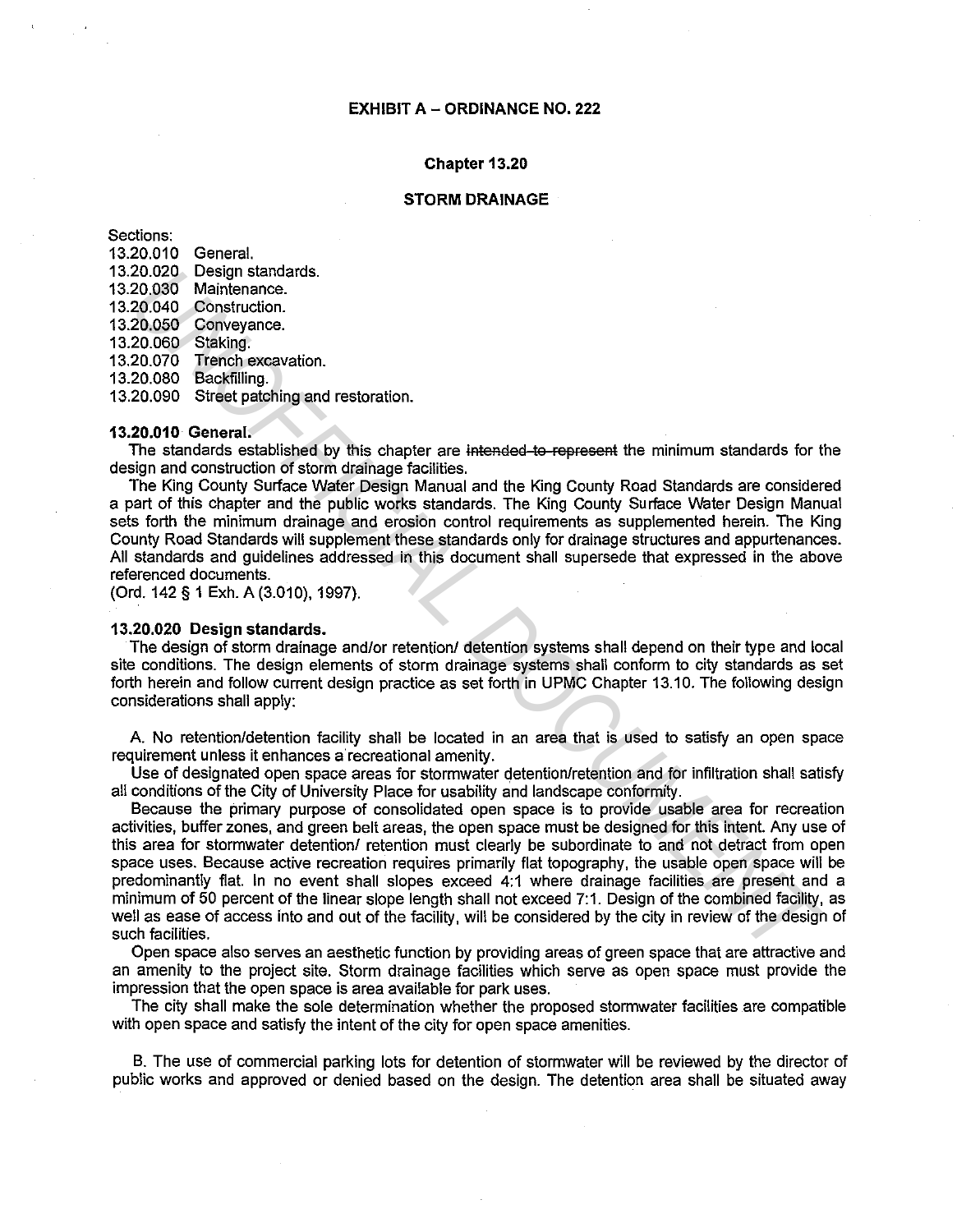### **Chapter 13.20**

### **STORM DRAINAGE**

Sections:

13.20.010 General. 13.20.020 Design standards. 13.20.030 Maintenance. 13.20.040 Construction. 13.20.050 Conveyance. 13.20.060 Staking. 13.20.070 Trench excavation. 13.20.080 Backfilling. 13.20.090 Street patching and restoration.

**13.20.01 o General.** 

The standards established by this chapter are intended to represent the minimum standards for the design and construction of storm drainage facilities.

The King County Surface Water Design Manual and the King County Road Standards are considered a part of this chapter and the public works standards. The King County Surface Water Design Manual sets forth the minimum drainage and erosion control requirements as supplemented herein. The King County Road Standards will supplement these standards only for drainage structures and appurtenances. All standards and guidelines addressed in this document shall supersede that expressed in the above referenced documents.

(Ord. 142 § 1 Exh. A (3.010), 1997).

## **13.20.020 Design standards.**

The design of storm drainage and/or retention/ detention systems shall depend on their type and local site conditions. The design elements of storm drainage systems shall conform to city standards as set forth herein and follow current design practice as set forth in UPMC Chapter 13.10. The following design considerations shall apply:

A. No retention/detention facility shall be located in an area that is used to satisfy an open space requirement unless it enhances a recreational amenity.

Use of designated open space areas for stormwater detention/retention and for infiltration shall satisfy all conditions of the City of University Place for usability and landscape conformity.

Because the primary purpose of consolidated open space is to provide usable area for recreation activities, buffer zones, and green belt areas, the open space must be designed for this intent. Any use of this area for stormwater detention/ retention must clearly be subordinate to and not detract from open space uses. Because active recreation requires primarily flat topography, the usable open space will be predominantly flat. In no event shall slopes exceed 4:1 where drainage facilities are present and a minimum of 50 percent of the linear slope length shall not exceed 7:1. Design of the combined facility, as well as ease of access into and out of the facility, will be considered by the city in review of the design of such facilities. 20.020 Design standards.<br>
20.030 Maintenance.<br>
20.030 Maintenance.<br>
20.040 Construction.<br>
20.060 Standards castabilistical of the linear specific and the King County Road Standards for the standards for the standards stand

Open space also serves an aesthetic function by providing areas of green space that are attractive and an amenity to the project site. Storm drainage facilities which serve as open space must provide the impression that the open space is area available for park uses.

The city shall make the sole determination whether the proposed stormwater facilities are compatible with open space and satisfy the intent of the city for open space amenities.

B. The use of commercial parking lots for detention of stormwater will be reviewed by the director of public works and approved or denied based on the design. The detention area shall be situated away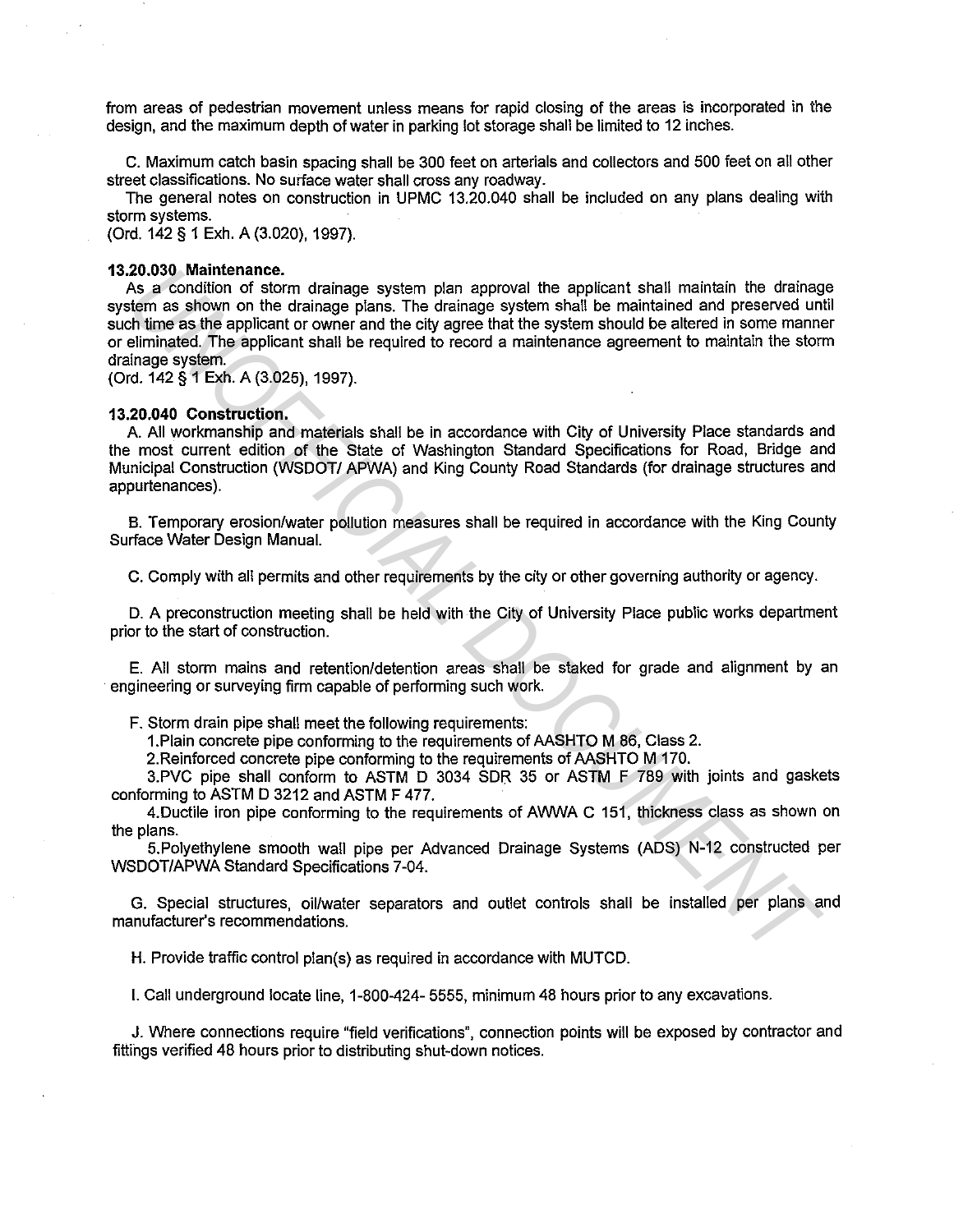from areas of pedestrian movement unless means for rapid closing of the areas is incorporated in the design, and the maximum depth of water in parking lot storage shall be limited to 12 inches.

C. Maximum catch basin spacing shall be 300 feet on arterials and collectors and 500 feet on all other street classifications. No surface water shall cross any roadway.

The general notes on construction in UPMC 13.20.040 shall be included on any plans dealing with storm systems.

(Ord. 142 § 1 Exh. A (3.020), 1997).

#### **13.20.030 Maintenance.**

As a condition of storm drainage system plan approval the applicant shall maintain the drainage system as shown on the drainage plans. The drainage system shall be maintained and preserved until such time as the applicant or owner and the city agree that the system should be altered in some manner or eliminated. The applicant shall be required to record a maintenance agreement to maintain the storm drainage system. 20.030 Maintenance.<br>
As a condition of storm drainage system plan approval the applicant shall maintain the drainage<br>
As a condition of the drainage plans. The drainage system shall be maintained and preserved unit<br>
of thi

(Ord. 142 § 1 Exh. A (3.025), 1997).

#### **13.20.040 Construction.**

A. All workmanship and materials shall be in accordance with City of University Place standards and the most current edition of the State of Washington Standard Specifications for Road, Bridge and Municipal Construction (WSDOT/ APWA) and King County Road Standards (for drainage structures and appurtenances).

B. Temporary erosion/water pollution measures shall be required in accordance with the King County Surface Water Design Manual.

C. Comply with all permits and other requirements by the city or other governing authority or agency.

D. A preconstruction meeting shall be held with the City of University Place public works department prior to the start of construction.

E. All storm mains and retention/detention areas shall be staked for grade and alignment by an engineering or surveying firm capable of performing such work.

F. Storm drain pipe shall meet the following requirements:

1.Plain concrete pipe conforming to the requirements of AASHTO M 86, Class 2.

2.Reinforced concrete pipe conforming to the requirements of AASHTO M 170.

3.PVC pipe shall conform to ASTM D 3034 SDR 35 or ASTM F 789 with joints and gaskets conforming to ASTM D 3212 and ASTM F 477.

4.Ductile iron pipe conforming to the requirements of AWWA C 151, thickness class as shown on the plans.

5.Polyethylene smooth wall pipe per Advanced Drainage Systems (ADS) N-12 constructed per WSDOT/APWA Standard Specifications 7-04.

G. Special structures, oil/water separators and outlet controls shall be installed per plans and manufacturer's recommendations.

H. Provide traffic control plan(s) as required in accordance with MUTCD.

I. Call underground locate line, 1-800-424- 5555, minimum 48 hours prior to any excavations.

J. Where connections require "field verifications", connection points will be exposed by contractor and fittings verified 48 hours prior to distributing shut-down notices.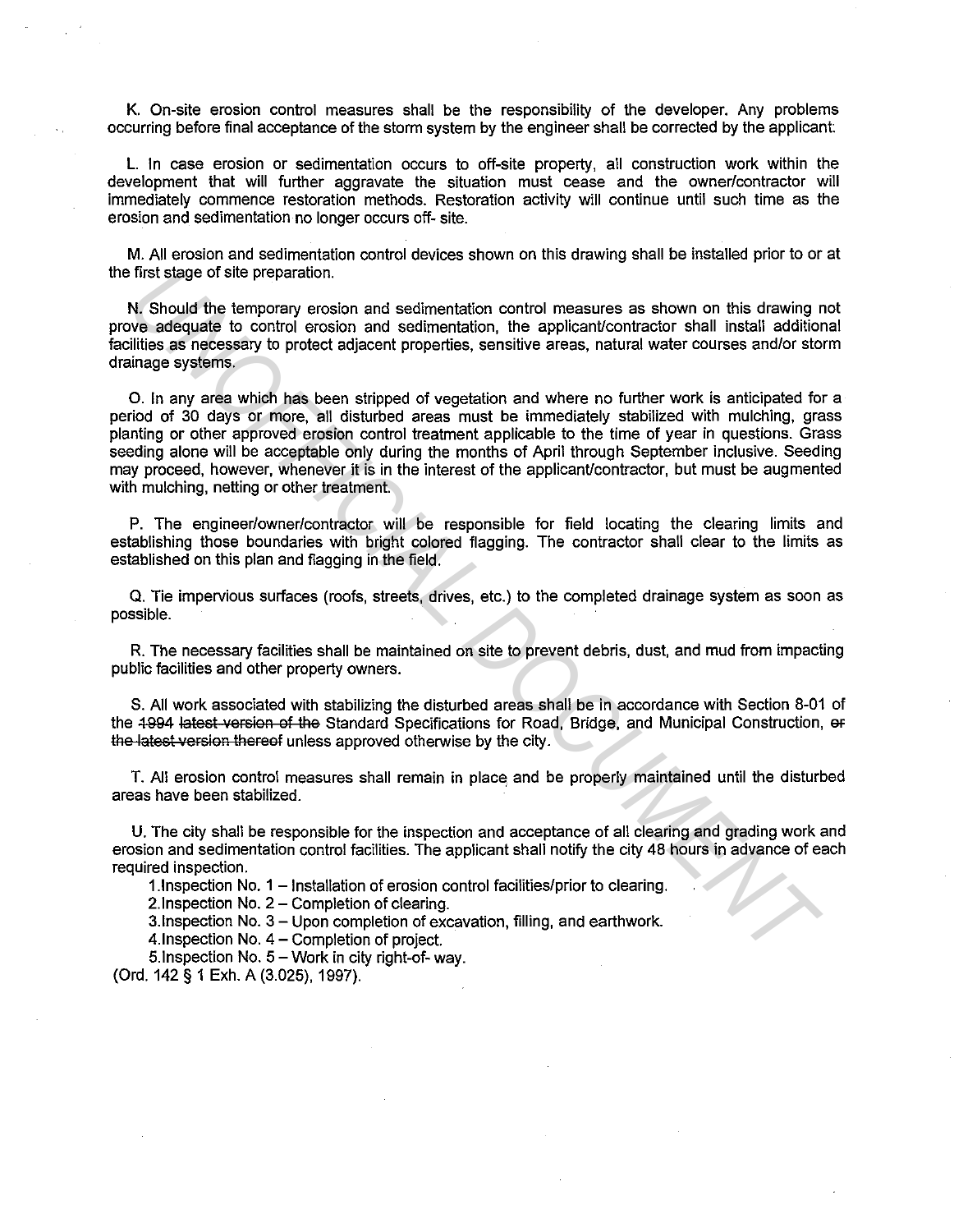K. On-site erosion control measures shall be the responsibility of the developer. Any problems occurring before final acceptance of the storm system by the engineer shall be corrected by the applicant

L. In case erosion or sedimentation occurs to off-site property, all construction work within the development that will further aggravate the situation must cease and the owner/contractor will immediately commence restoration methods. Restoration activity will continue until such time as the erosion and sedimentation no longer occurs off- site.

M. All erosion and sedimentation control devices shown on this drawing shall be installed prior to or at the first stage of site preparation.

N. Should the temporary erosion and sedimentation control measures as shown on this drawing not prove adequate to control erosion and sedimentation, the applicant/contractor shall install additional facilities as necessary to protect adjacent properties, sensitive areas, natural water courses and/or storm drainage systems.

0. In any area which has been stripped of vegetation and where no further work is anticipated for a period of 30 days or more, all disturbed areas must be immediately stabilized with mulching, grass planting or other approved erosion control treatment applicable to the time of year in questions. Grass seeding alone will be acceptable only during the months of April through September inclusive. Seeding may proceed, however, whenever it is in the interest of the applicant/contractor, but must be augmented with mulching, netting or other treatment. If first stage of site preparation.<br>We about the temporary erosion and sedimentation control measures as shown on this drawing<br>We adequate to control erosion and sedimentation, the applicant/contractor shall install additi

P. The engineer/owner/contractor will be responsible for field locating the clearing limits and establishing those boundaries with bright colored flagging. The contractor shall clear to the limits as established on this plan and flagging in the field.

Q. Tie impervious surfaces (roofs, streets, drives, etc.) to the completed drainage system as soon as possible.

R. The necessary facilities shall be maintained on site to prevent debris, dust, and mud from impacting public facilities and other property owners.

S. All work associated with stabilizing the disturbed areas shall be in accordance with Section 8-01 of the 4994 latest version of the Standard Specifications for Road, Bridge, and Municipal Construction, or the latest version thereof unless approved otherwise by the city.

T. All erosion control measures shall remain in place and be properly maintained until the disturbed areas have been stabilized.

U. The city shall be responsible for the inspection and acceptance of all clearing and grading work and erosion and sedimentation control facilities. The applicant shall notify the city 48 hours in advance of each required inspection.

1.lnspection No. 1 - Installation of erosion control facilities/prior to clearing.

2. Inspection No. 2 - Completion of clearing.

3.lnspection No. 3 - Upon completion of excavation, filling, and earthwork.

4. Inspection No. 4 – Completion of project.

5. Inspection No.  $5 -$  Work in city right-of- way.

(Ord. 142 § 1 Exh. A (3.025), 1997).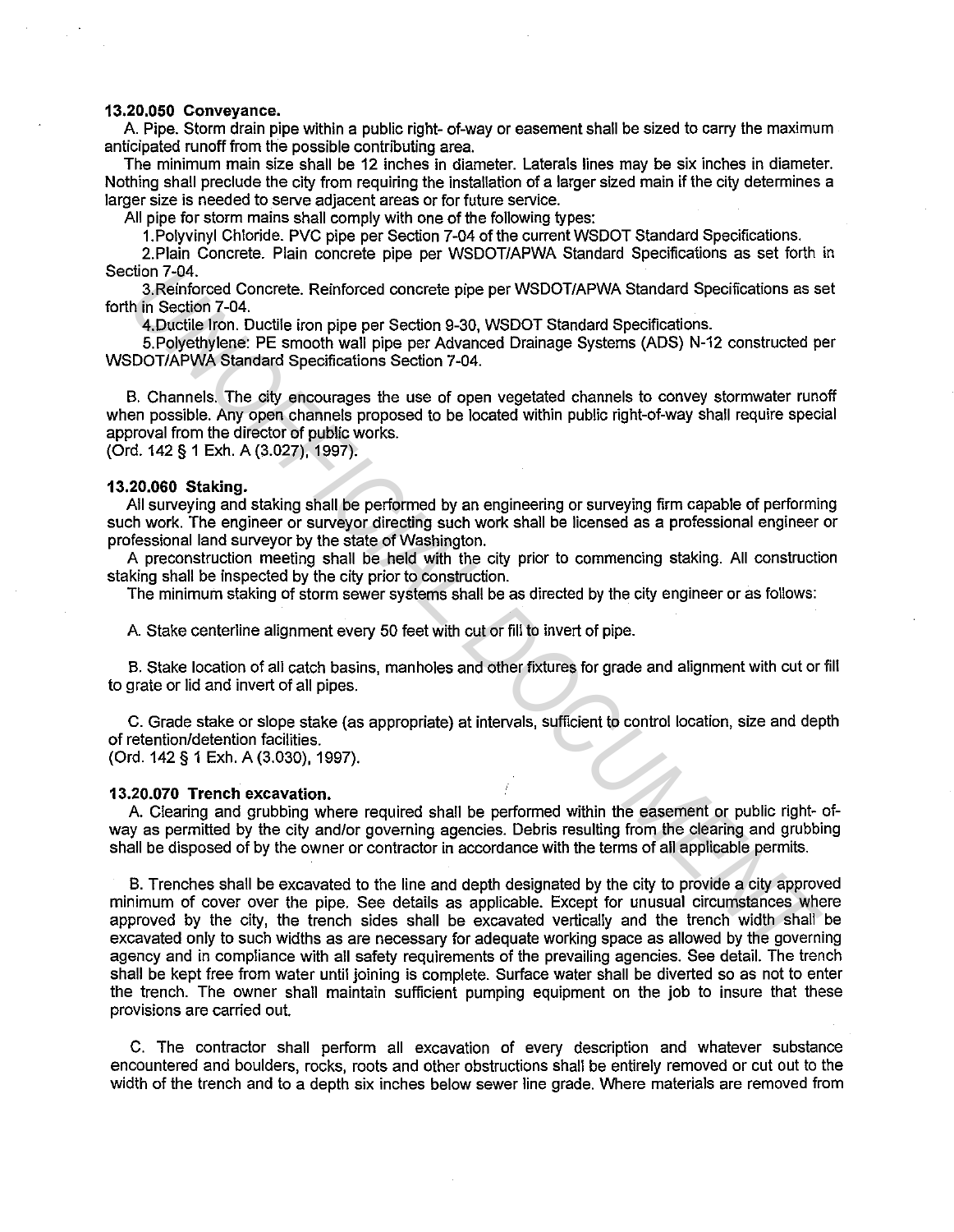## **13.20.050 Conveyance.**

A Pipe. Storm drain pipe within a public right- of-way or easement shall be sized to carry the maximum anticipated runoff from the possible contributing area.

The minimum main size shall be 12 inches in diameter. Laterals lines may be six inches in diameter. Nothing shall preclude the city from requiring the installation of a larger sized main if the city determines a larger size is needed to serve adjacent areas or for future service.

All pipe for storm mains shall comply with one of the following types:

1. Polyvinyl Chloride. PVC pipe per Section 7-04 of the current WSDOT Standard Specifications.

2.Plain Concrete. Plain concrete pipe per WSDOT/APWA Standard Specifications as set forth in Section 7-04.

3.Reinforced Concrete. Reinforced concrete pipe per WSDOT/APWA Standard Specifications as set forth in Section 7-04.

4.Ductile Iron. Ductile iron pipe per Section 9-30, WSDOT Standard Specifications.

5. Polyethylene: PE smooth wall pipe per Advanced Drainage Systems (ADS) N-12 constructed per WSDOT/APWA Standard Specifications Section 7-04.

B. Channels. The city encourages the use of open vegetated channels to convey stormwater runoff when possible. Any open channels proposed to be located within public right-of-way shall require special approval from the director of public works.

(Ord. 142 § 1 Exh. A (3.027), 1997).

## **13.20.060 Staking.**

All surveying and staking shall be performed by an engineering or surveying firm capable of performing such work. The engineer or surveyor directing such work shall be licensed as a professional engineer or professional land surveyor by the state of Washington.

A preconstruction meeting shall be held with the city prior to commencing staking. All construction staking shall be inspected by the city prior to construction.

The minimum staking of storm sewer systems shall be as directed by the city engineer or as follows:

A Stake centerline alignment every 50 feet with cut or fill to invert of pipe.

B. Stake location of all catch basins, manholes and other fixtures for grade and alignment with cut or fill to grate or lid and invert of all pipes.

C. Grade stake or slope stake (as appropriate) at intervals, sufficient to control location, size and depth of retention/detention facilities.

(Ord. 142 § 1 Exh. A (3.030), 1997).

## **13.20.070 Trench excavation.**

A Clearing and grubbing where required shall be performed within the easement or public right- ofway as permitted by the city and/or governing agencies. Debris resulting from the clearing and grubbing shall be disposed of by the owner or contractor in accordance with the terms of all applicable permits.

B. Trenches shall be excavated to the line and depth designated by the city to provide a city approved minimum of cover over the pipe. See details as applicable. Except for unusual circumstances where approved by the city, the trench sides shall be excavated vertically and the trench width shall be excavated only to such widths as are necessary for adequate working space as allowed by the governing agency and in compliance with all safety requirements of the prevailing agencies. See detail. The trench shall be kept free from water until joining is complete. Surface water shall be diverted so as not to enter the trench. The owner shall maintain sufficient pumping equipment on the job to insure that these provisions are carried out. ction 7-04.<br>
3. Relinforced Concrete. Relinforced concrete pipe per WSDOT/APWA Standard Specifications as s<br>
4. Become 7-04.<br>
4. Becometric Fig. monoth wall pipe per Section 9-30, WSDOT Standard Specifications as the infor

C. The contractor shall perform all excavation of every description and whatever substance encountered and boulders, rocks, roots and other obstructions shall be entirely removed or cut out to the width of the trench and to a depth six inches below sewer line grade. Where materials are removed from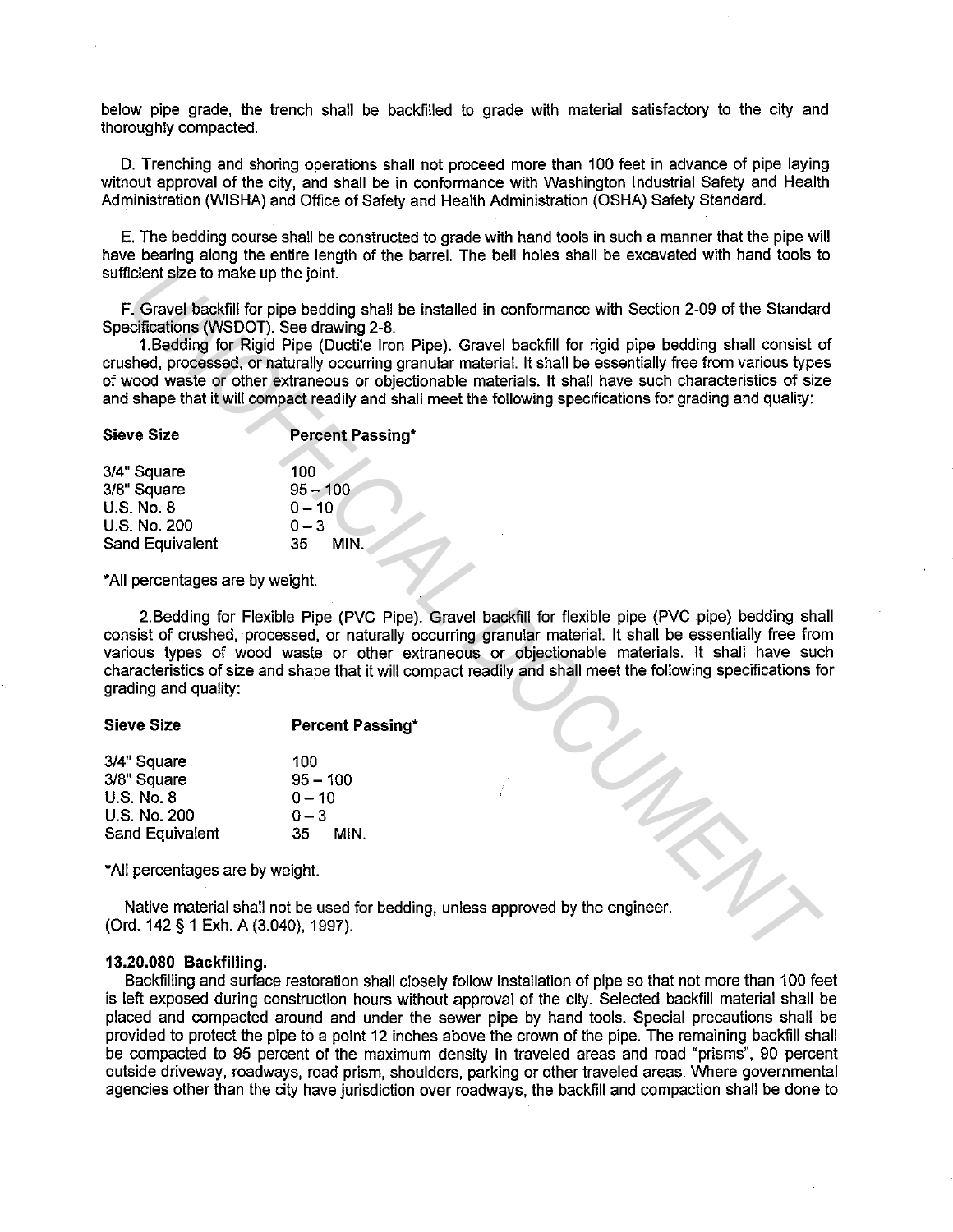below pipe grade, the trench shall be backfilled to grade with material satisfactory to the city and thoroughly compacted.

D. Trenching and shoring operations shall not proceed more than 100 feet in advance of pipe laying without approval of the city, and shall be in conformance with Washington Industrial Safety and Health Administration (WISHA) and Office of Safety and Health Administration (OSHA) Safety Standard.

E. The bedding course shall be constructed to grade with hand tools in such a manner that the pipe will have bearing along the entire length of the barrel. The bell holes shall be excavated with hand tools to sufficient size to make up the joint.

F. Gravel backfill for pipe bedding shall be installed in conformance with Section 2-09 of the Standard Specifications (WSDOT). See drawing 2-8.

1.Bedding for Rigid Pipe (Ductile Iron Pipe). Gravel backfill for rigid pipe bedding shall consist of crushed, processed, or naturally occurring granular material. It shall be essentially free from various types of wood waste or other extraneous or objectionable materials. It shall have such characteristics of size and shape that it will compact readily and shall meet the following specifications for grading and quality:

| <b>Sieve Size</b>      | <b>Percent Passing*</b> |
|------------------------|-------------------------|
| 3/4" Square            | 100                     |
| 3/8" Square            | $95 - 100$              |
| <b>U.S. No. 8</b>      | $0 - 10$                |
| <b>U.S. No. 200</b>    | $0 - 3$                 |
| <b>Sand Equivalent</b> | MIN.<br>35.             |

\*All percentages are by weight.

2.Bedding for Flexible Pipe (PVC Pipe). Gravel backfill for flexible pipe (PVC pipe) bedding shall consist of crushed, processed, or naturally occurring granular material. It shall be essentially free from various types of wood waste or other extraneous or objectionable materials. It shall have such characteristics of size and shape that it will compact readily and shall meet the following specifications for grading and quality: **Example 16:** Gravel Brackfill for pipe bedding shall be installed in conformance with Section 2-09 of the Standard Conformation (Wislom) See drawing 2-8.<br> **1. Redding for Rigid Pipe (Ductile Iron Pipe).** Cravel backfill f

#### Sieve Size Percent Passing\*

| 3/4" Square       | 100          |
|-------------------|--------------|
| 3/8" Square       | $95 - 100$   |
| <b>U.S. No. 8</b> | $0 - 10$     |
| U.S. No. 200      | $0 - 3$      |
| Sand Equivalent   | 35 -<br>MIN. |

\*All percentages are by weight.

Native material shall not be used for bedding, unless approved by the engineer. (Ord. 142 § 1 Exh. A (3.040), 1997).

#### 13.20.080 Backfilling.

Backfilling and surface restoration shall closely follow installation of pipe so that not more than 100 feet is left exposed during construction hours without approval of the city. Selected backfill material shall be placed and compacted around and under the sewer pipe by hand tools. Special precautions shall be provided to protect the pipe to a point 12 inches above the crown of the pipe. The remaining backfill shall be compacted to 95 percent of the maximum density in traveled areas and road "prisms", 90 percent outside driveway, roadways, road prism, shoulders, parking or other traveled areas. Where governmental agencies other than the city have jurisdiction over roadways, the backfill and compaction shall be done to